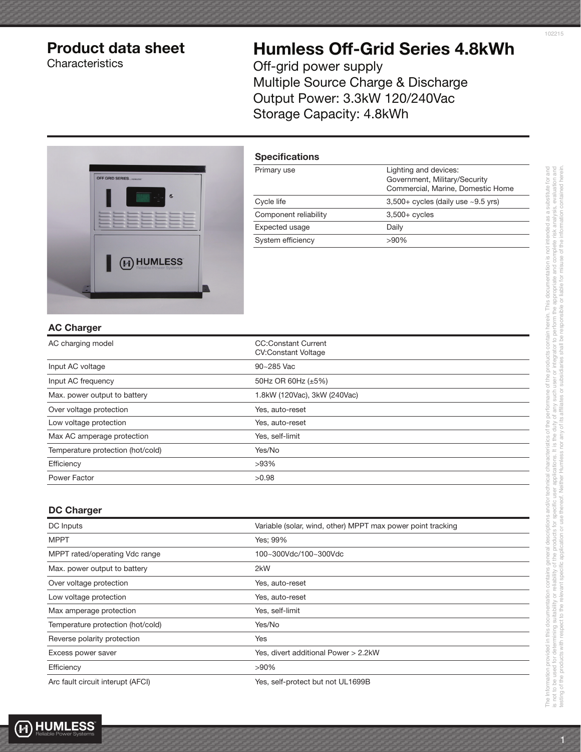# Product data sheet

**Characteristics** 

# Humless Off-Grid Series 4.8kWh

Off-grid power supply Multiple Source Charge & Discharge Output Power: 3.3kW 120/240Vac Storage Capacity: 4.8kWh



| <b>Specifications</b> |                                                                                             |
|-----------------------|---------------------------------------------------------------------------------------------|
| Primary use           | Lighting and devices:<br>Government, Military/Security<br>Commercial, Marine, Domestic Home |
| Cycle life            | $3,500+$ cycles (daily use $~2.5$ yrs)                                                      |
| Component reliability | $3,500+$ cycles                                                                             |
| Expected usage        | Daily                                                                                       |
| System efficiency     | $>90\%$                                                                                     |
|                       |                                                                                             |

#### AC Charger

| AC charging model                 | <b>CC:Constant Current</b><br><b>CV:Constant Voltage</b> |
|-----------------------------------|----------------------------------------------------------|
| Input AC voltage                  | 90~285 Vac                                               |
| Input AC frequency                | 50Hz OR 60Hz (±5%)                                       |
| Max. power output to battery      | 1.8kW (120Vac), 3kW (240Vac)                             |
| Over voltage protection           | Yes, auto-reset                                          |
| Low voltage protection            | Yes, auto-reset                                          |
| Max AC amperage protection        | Yes, self-limit                                          |
| Temperature protection (hot/cold) | Yes/No                                                   |
| Efficiency                        | $>93\%$                                                  |
| Power Factor                      | >0.98                                                    |

#### DC Charger

| DC Inputs                         | Variable (solar, wind, other) MPPT max power point tracking |
|-----------------------------------|-------------------------------------------------------------|
| <b>MPPT</b>                       | Yes: 99%                                                    |
| MPPT rated/operating Vdc range    | 100~300Vdc/100~300Vdc                                       |
| Max. power output to battery      | 2kW                                                         |
| Over voltage protection           | Yes, auto-reset                                             |
| Low voltage protection            | Yes, auto-reset                                             |
| Max amperage protection           | Yes, self-limit                                             |
| Temperature protection (hot/cold) | Yes/No                                                      |
| Reverse polarity protection       | Yes                                                         |
| Excess power saver                | Yes, divert additional Power > 2.2kW                        |
| Efficiency                        | $>90\%$                                                     |
| Arc fault circuit interupt (AFCI) | Yes, self-protect but not UL1699B                           |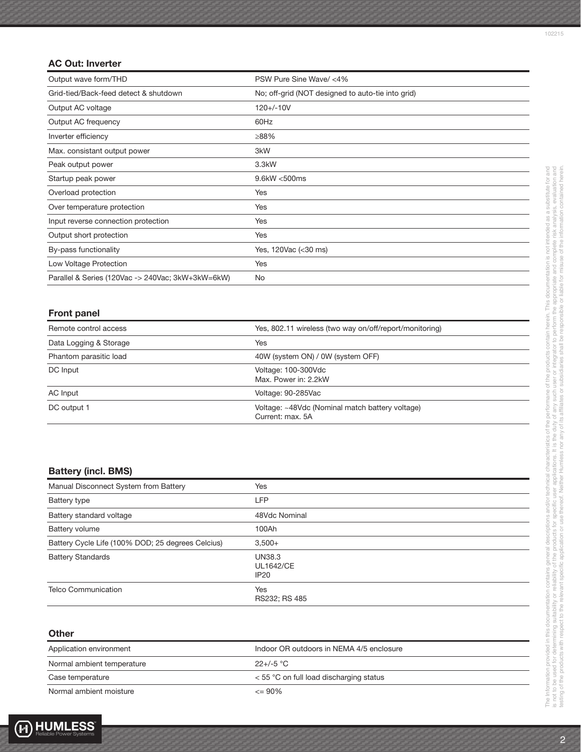## AC Out: Inverter

| Output wave form/THD                              | PSW Pure Sine Wave/ <4%                           |
|---------------------------------------------------|---------------------------------------------------|
| Grid-tied/Back-feed detect & shutdown             | No; off-grid (NOT designed to auto-tie into grid) |
| Output AC voltage                                 | $120 + (-10V$                                     |
| Output AC frequency                               | 60Hz                                              |
| Inverter efficiency                               | ≥88%                                              |
| Max. consistant output power                      | 3kW                                               |
| Peak output power                                 | 3.3kW                                             |
| Startup peak power                                | 9.6kW <500ms                                      |
| Overload protection                               | Yes                                               |
| Over temperature protection                       | Yes                                               |
| Input reverse connection protection               | Yes                                               |
| Output short protection                           | Yes                                               |
| By-pass functionality                             | Yes, 120Vac (< 30 ms)                             |
| Low Voltage Protection                            | Yes                                               |
| Parallel & Series (120Vac -> 240Vac; 3kW+3kW=6kW) | No                                                |

## Front panel

| Remote control access  | Yes, 802.11 wireless (two way on/off/report/monitoring)             |
|------------------------|---------------------------------------------------------------------|
| Data Logging & Storage | Yes                                                                 |
| Phantom parasitic load | 40W (system ON) / 0W (system OFF)                                   |
| DC Input               | Voltage: 100-300Vdc<br>Max. Power in: 2.2kW                         |
| AC Input               | Voltage: 90-285Vac                                                  |
| DC output 1            | Voltage: ~48Vdc (Nominal match battery voltage)<br>Current: max. 5A |

# Battery (incl. BMS)

| Manual Disconnect System from Battery             | Yes                                                   |
|---------------------------------------------------|-------------------------------------------------------|
| Battery type                                      | LFP                                                   |
| Battery standard voltage                          | 48Vdc Nominal                                         |
| Battery volume                                    | 100Ah                                                 |
| Battery Cycle Life (100% DOD; 25 degrees Celcius) | $3,500+$                                              |
| <b>Battery Standards</b>                          | <b>UN38.3</b><br><b>UL1642/CE</b><br>IP <sub>20</sub> |
| <b>Telco Communication</b>                        | <b>Yes</b><br>RS232; RS 485                           |

#### **Other**

| Application environment    | Indoor OR outdoors in NEMA 4/5 enclosure  |
|----------------------------|-------------------------------------------|
| Normal ambient temperature | $22+/-5$ °C                               |
| Case temperature           | $<$ 55 °C on full load discharging status |
| Normal ambient moisture    | $\leq$ 90%                                |